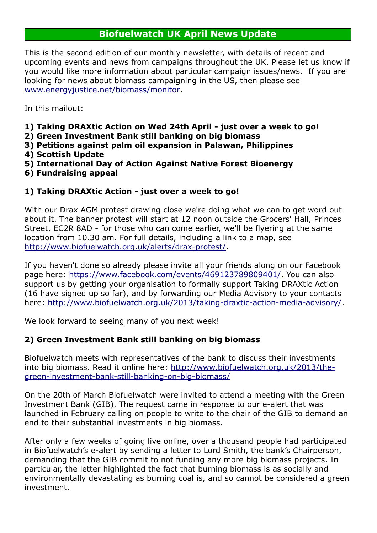# **Biofuelwatch UK April News Update**

This is the second edition of our monthly newsletter, with details of recent and upcoming events and news from campaigns throughout the UK. Please let us know if you would like more information about particular campaign issues/news. If you are looking for news about biomass campaigning in the US, then please see [www.energyjustice.net/biomass/monitor.](http://energyjustice.net/biomass/monitor/)

In this mailout:

- **1) Taking DRAXtic Action on Wed 24th April just over a week to go!**
- **2) Green Investment Bank still banking on big biomass**
- **3) Petitions against palm oil expansion in Palawan, Philippines**
- **4) Scottish Update**
- **5) International Day of Action Against Native Forest Bioenergy**
- **6) Fundraising appeal**

## **1) Taking DRAXtic Action - just over a week to go!**

With our Drax AGM protest drawing close we're doing what we can to get word out about it. The banner protest will start at 12 noon outside the Grocers' Hall, Princes Street, EC2R 8AD - for those who can come earlier, we'll be flyering at the same location from 10.30 am. For full details, including a link to a map, see [http://www.biofuelwatch.org.uk/alerts/drax-protest/.](http://www.biofuelwatch.org.uk/alerts/drax-protest/)

If you haven't done so already please invite all your friends along on our Facebook page here: [https://www.facebook.com/events/469123789809401/.](https://www.facebook.com/events/469123789809401/) You can also support us by getting your organisation to formally support Taking DRAXtic Action (16 have signed up so far), and by forwarding our Media Advisory to your contacts here: [http://www.biofuelwatch.org.uk/2013/taking-draxtic-action-media-advisory/.](http://www.biofuelwatch.org.uk/2013/taking-draxtic-action-media-advisory/)

We look forward to seeing many of you next week!

## **2) Green Investment Bank still banking on big biomass**

Biofuelwatch meets with representatives of the bank to discuss their investments into big biomass. Read it online here: [http://www.biofuelwatch.org.uk/2013/the](http://www.biofuelwatch.org.uk/2013/the-green-investment-bank-still-banking-on-big-biomass/)[green-investment-bank-still-banking-on-big-biomass/](http://www.biofuelwatch.org.uk/2013/the-green-investment-bank-still-banking-on-big-biomass/)

On the 20th of March Biofuelwatch were invited to attend a meeting with the Green Investment Bank (GIB). The request came in response to our e-alert that was launched in February calling on people to write to the chair of the GIB to demand an end to their substantial investments in big biomass.

After only a few weeks of going live online, over a thousand people had participated in Biofuelwatch's e-alert by sending a letter to Lord Smith, the bank's Chairperson, demanding that the GIB commit to not funding any more big biomass projects. In particular, the letter highlighted the fact that burning biomass is as socially and environmentally devastating as burning coal is, and so cannot be considered a green investment.